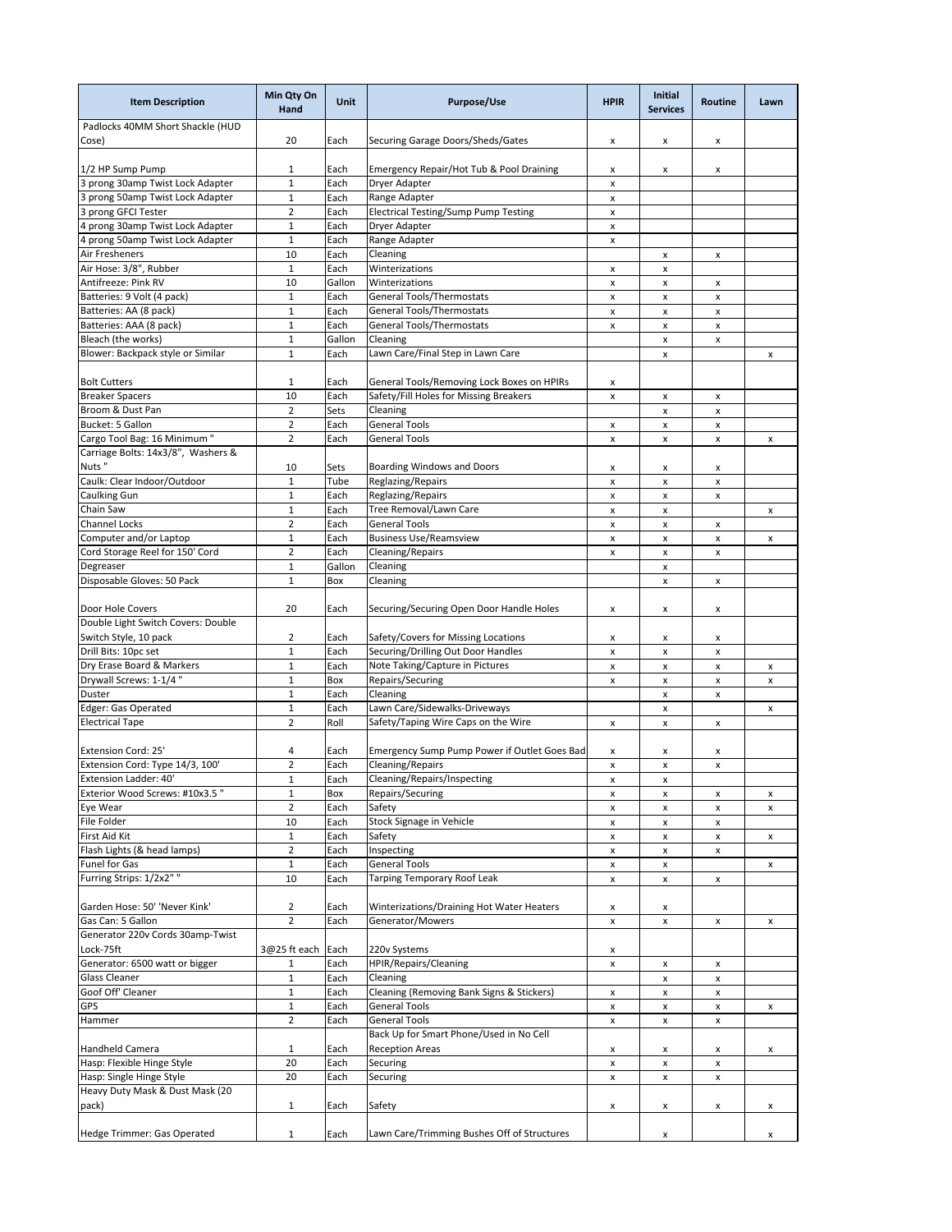| <b>Item Description</b>                   | Min Qty On<br><b>Hand</b> | <b>Unit</b> | <b>Purpose/Use</b>                           | <b>HPIR</b>               | Initial<br><b>Services</b> | <b>Routine</b>     | Lawn |
|-------------------------------------------|---------------------------|-------------|----------------------------------------------|---------------------------|----------------------------|--------------------|------|
| Padlocks 40MM Short Shackle (HUD<br>Cose) | 20                        | Each        | Securing Garage Doors/Sheds/Gates            | x                         | x                          | x                  |      |
| 1/2 HP Sump Pump                          | $\mathbf{1}$              | Each        | Emergency Repair/Hot Tub & Pool Draining     | x                         | x                          | x                  |      |
| 3 prong 30amp Twist Lock Adapter          | $\mathbf{1}$              | Each        | <b>Dryer Adapter</b>                         | $\pmb{\times}$            |                            |                    |      |
| 3 prong 50amp Twist Lock Adapter          | $\mathbf{1}$              | Each        | Range Adapter                                | $\pmb{\mathsf{x}}$        |                            |                    |      |
| 3 prong GFCI Tester                       | $\overline{2}$            | Each        | Electrical Testing/Sump Pump Testing         | $\pmb{\times}$            |                            |                    |      |
| 4 prong 30amp Twist Lock Adapter          | $1\,$                     | Each        | Dryer Adapter                                | $\pmb{\mathsf{x}}$        |                            |                    |      |
| 4 prong 50amp Twist Lock Adapter          | $\mathbf{1}$              | Each        | Range Adapter                                | $\pmb{\mathsf{x}}$        |                            |                    |      |
| Air Fresheners                            | 10                        | Each        | Cleaning                                     |                           | X                          | x                  |      |
| Air Hose: 3/8", Rubber                    | $\mathbf 1$               | Each        | Winterizations                               | x                         | X                          |                    |      |
| Antifreeze: Pink RV                       | 10                        | Gallon      | Winterizations                               | $\pmb{\mathsf{x}}$        | X                          | x                  |      |
| Batteries: 9 Volt (4 pack)                | $\mathbf{1}$              | Each        | <b>General Tools/Thermostats</b>             | $\pmb{\mathsf{x}}$        | x                          | x                  |      |
| Batteries: AA (8 pack)                    | $\mathbf{1}$              | Each        | <b>General Tools/Thermostats</b>             | $\pmb{\times}$            | x                          | x                  |      |
| Batteries: AAA (8 pack)                   | $\mathbf{1}$              | Each        | General Tools/Thermostats                    | $\pmb{\times}$            | x                          | x                  |      |
| Bleach (the works)                        | $\mathbf{1}$              | Gallon      | Cleaning                                     |                           | x                          | x                  |      |
| Blower: Backpack style or Similar         | $\mathbf{1}$              | Each        | Lawn Care/Final Step in Lawn Care            |                           | X                          |                    |      |
|                                           |                           |             |                                              |                           |                            |                    | x    |
| <b>Bolt Cutters</b>                       | 1                         | Each        | General Tools/Removing Lock Boxes on HPIRs   | X                         |                            |                    |      |
| <b>Breaker Spacers</b>                    | 10                        | Each        | Safety/Fill Holes for Missing Breakers       | $\pmb{\mathsf{x}}$        | x                          | x                  |      |
| Broom & Dust Pan                          | $\overline{2}$            | Sets        | Cleaning                                     |                           | X                          | x                  |      |
| Bucket: 5 Gallon                          | $\overline{2}$            | Each        | <b>General Tools</b>                         | x                         | $\pmb{\mathsf{x}}$         | $\pmb{\mathsf{x}}$ |      |
| Cargo Tool Bag: 16 Minimum "              | $\overline{2}$            | Each        | General Tools                                | $\pmb{\mathsf{x}}$        | $\pmb{\mathsf{x}}$         | x                  | x    |
| Carriage Bolts: 14x3/8", Washers &        |                           |             |                                              |                           |                            |                    |      |
| Nuts"                                     | 10                        | Sets        | <b>Boarding Windows and Doors</b>            | x                         | x                          | x                  |      |
| Caulk: Clear Indoor/Outdoor               | $\mathbf{1}$              | Tube        | Reglazing/Repairs                            | $\pmb{\times}$            | X                          | x                  |      |
| Caulking Gun                              | $\mathbf{1}$              | Each        | Reglazing/Repairs                            | $\pmb{\times}$            | x                          | x                  |      |
| Chain Saw                                 | $\mathbf{1}$              | Each        | Tree Removal/Lawn Care                       | $\pmb{\times}$            | $\pmb{\mathsf{x}}$         |                    | x    |
| Channel Locks                             | $\overline{2}$            | Each        | <b>General Tools</b>                         | $\pmb{\times}$            | x                          | x                  |      |
| Computer and/or Laptop                    | $\mathbf{1}$              | Each        | <b>Business Use/Reamsview</b>                | x                         | x                          | x                  | x    |
| Cord Storage Reel for 150' Cord           | $\overline{2}$            | Each        | Cleaning/Repairs                             | $\pmb{\mathsf{x}}$        | x                          | x                  |      |
| Degreaser                                 | $\mathbf{1}$              | Gallon      | Cleaning                                     |                           | x                          |                    |      |
| Disposable Gloves: 50 Pack                | $\mathbf{1}$              | Box         | Cleaning                                     |                           | $\pmb{\mathsf{x}}$         | $\pmb{\mathsf{x}}$ |      |
| Door Hole Covers                          | 20                        | Each        | Securing/Securing Open Door Handle Holes     | X                         | x                          | X                  |      |
| Double Light Switch Covers: Double        |                           |             |                                              |                           |                            |                    |      |
| Switch Style, 10 pack                     | 2                         | Each        | Safety/Covers for Missing Locations          | X                         | x                          | X                  |      |
| Drill Bits: 10pc set                      | $\mathbf 1$               | Each        | Securing/Drilling Out Door Handles           | $\boldsymbol{\mathsf{x}}$ | x                          | X                  |      |
| Dry Erase Board & Markers                 | $\mathbf{1}$              | Each        | Note Taking/Capture in Pictures              | $\pmb{\mathsf{x}}$        | x                          | x                  | x    |
| Drywall Screws: 1-1/4"                    | $\mathbf 1$               | Box         | Repairs/Securing                             | $\pmb{\times}$            | x                          | x                  | x    |
| Duster                                    | $\mathbf{1}$              | Each        | Cleaning                                     |                           | x                          | x                  |      |
| Edger: Gas Operated                       | $\mathbf{1}$              | Each        | Lawn Care/Sidewalks-Driveways                |                           | $\pmb{\mathsf{x}}$         |                    | x    |
| <b>Electrical Tape</b>                    | $\overline{2}$            | Roll        | Safety/Taping Wire Caps on the Wire          | x                         | x                          | x                  |      |
| <b>Extension Cord: 25'</b>                | 4                         | Each        | Emergency Sump Pump Power if Outlet Goes Bad | x                         | x                          | x                  |      |
| Extension Cord: Type 14/3, 100'           | $\overline{2}$            | Each        | Cleaning/Repairs                             | $\pmb{\mathsf{x}}$        | X                          | X                  |      |
| Extension Ladder: 40'                     | $\mathbf 1$               | Each        | Cleaning/Repairs/Inspecting                  | X                         | X                          |                    |      |
| Exterior Wood Screws: #10x3.5"            | $\mathbf{1}$              | Box         | Repairs/Securing                             | $\pmb{\mathsf{x}}$        | X                          | x                  | x    |
| Eye Wear                                  | $\overline{2}$            | Each        | Safety                                       |                           |                            |                    |      |
| File Folder                               | 10                        | Each        | Stock Signage in Vehicle                     | x<br>x                    | x<br>X                     | x<br>х             | x    |
| First Aid Kit                             | $\mathbf{1}$              | Each        | Safety                                       | x                         | x                          | x                  | x    |
| Flash Lights (& head lamps)               | $\overline{2}$            | Each        | Inspecting                                   | x                         | x                          | x                  |      |
| Funel for Gas                             | $\mathbf 1$               | Each        | General Tools                                |                           | x                          |                    |      |
| Furring Strips: 1/2x2" "                  | 10                        | Each        |                                              | x                         |                            |                    | x    |
|                                           |                           |             | Tarping Temporary Roof Leak                  | $\pmb{\times}$            | x                          | x                  |      |
| Garden Hose: 50' 'Never Kink'             | 2                         | Each        | Winterizations/Draining Hot Water Heaters    | x                         | x                          |                    |      |
| Gas Can: 5 Gallon                         | $\overline{2}$            | Each        | Generator/Mowers                             | x                         | X                          | x                  | x    |
| Generator 220v Cords 30amp-Twist          |                           |             |                                              |                           |                            |                    |      |
| Lock-75ft                                 | 3@25 ft each              | Each        | 220v Systems                                 | X                         |                            |                    |      |
| Generator: 6500 watt or bigger            | 1                         | Each        | <b>HPIR/Repairs/Cleaning</b>                 | $\pmb{\mathsf{x}}$        | X                          | x                  |      |
| Glass Cleaner                             | $\mathbf 1$               | Each        | Cleaning                                     |                           | X                          | x                  |      |
| Goof Off' Cleaner                         | $\mathbf 1$               | Each        | Cleaning (Removing Bank Signs & Stickers)    | $\pmb{\mathsf{x}}$        | X                          | $\pmb{\mathsf{x}}$ |      |
| GPS                                       | $\mathbf 1$               | Each        | General Tools                                | X                         | X                          | X                  | x    |
| Hammer                                    | $\overline{2}$            | Each        | <b>General Tools</b>                         | X                         | X                          | x                  |      |
|                                           |                           |             | Back Up for Smart Phone/Used in No Cell      |                           |                            |                    |      |
| Handheld Camera                           | $\mathbf{1}$              | Each        | <b>Reception Areas</b>                       | x                         | x                          | x                  | x    |
| Hasp: Flexible Hinge Style                | 20                        | Each        | Securing                                     | $\pmb{\mathsf{x}}$        | x                          | x                  |      |
| Hasp: Single Hinge Style                  | 20                        | Each        | Securing                                     | x                         | x                          | x                  |      |
| Heavy Duty Mask & Dust Mask (20           |                           |             |                                              |                           |                            |                    |      |
| pack)                                     | $\mathbf{1}$              | Each        | Safety                                       | x                         | X                          | x                  | x    |
|                                           |                           |             |                                              |                           |                            |                    |      |
| Hedge Trimmer: Gas Operated               | $\mathbf{1}$              | Each        | Lawn Care/Trimming Bushes Off of Structures  |                           | x                          |                    | x    |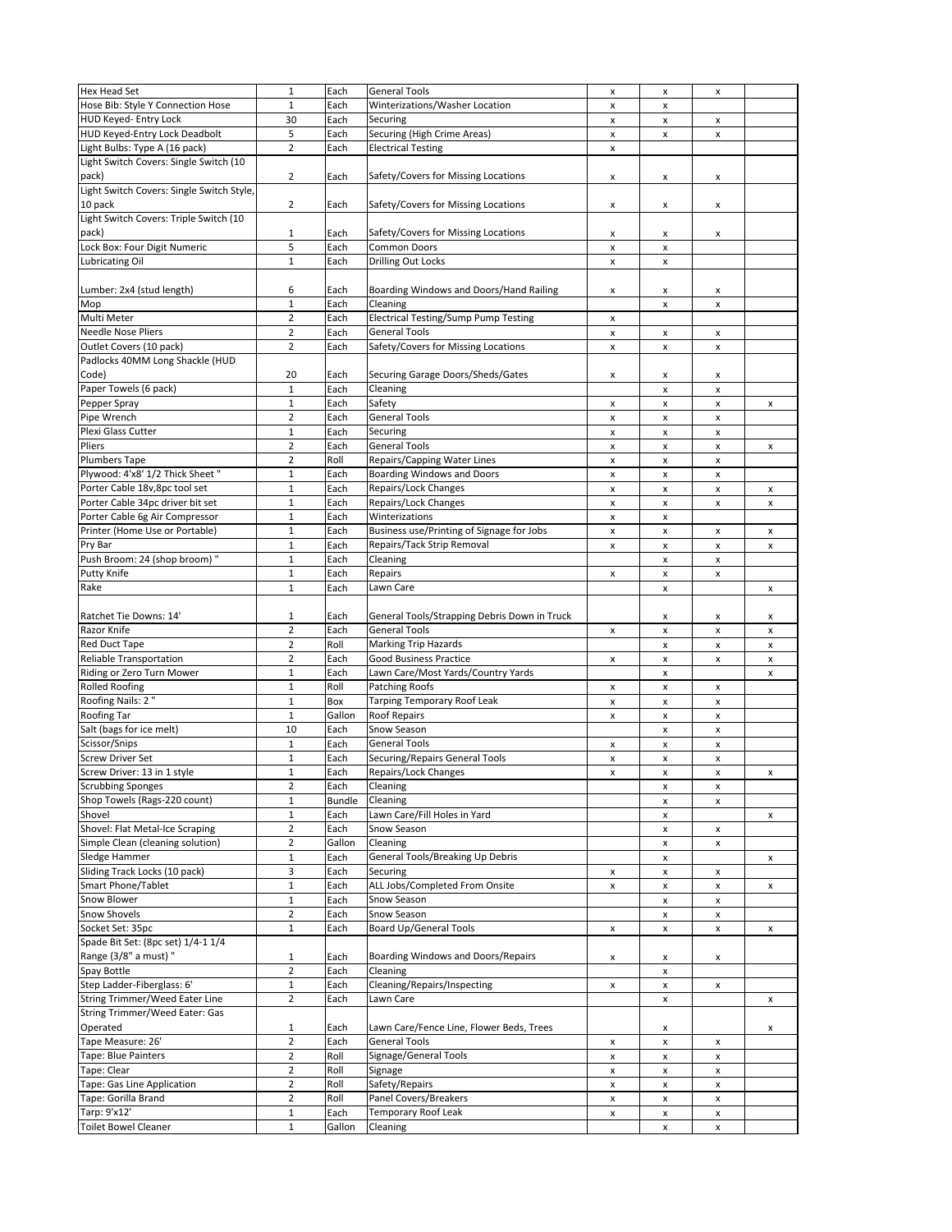| <b>Hex Head Set</b>                       | $\mathbf 1$    | Each          | <b>General Tools</b>                         | $\pmb{\times}$            | $\pmb{\times}$     | x |   |
|-------------------------------------------|----------------|---------------|----------------------------------------------|---------------------------|--------------------|---|---|
| Hose Bib: Style Y Connection Hose         | $\mathbf 1$    | Each          | Winterizations/Washer Location               | $\pmb{\mathsf{x}}$        | x                  |   |   |
| HUD Keyed- Entry Lock                     | 30             | Each          | Securing                                     | x                         | x                  |   |   |
|                                           |                |               |                                              |                           |                    | x |   |
| HUD Keyed-Entry Lock Deadbolt             | 5              | Each          | Securing (High Crime Areas)                  | $\pmb{\times}$            | x                  | x |   |
| Light Bulbs: Type A (16 pack)             | $\overline{2}$ | Each          | <b>Electrical Testing</b>                    | $\pmb{\times}$            |                    |   |   |
| Light Switch Covers: Single Switch (10    |                |               |                                              |                           |                    |   |   |
| pack)                                     | $\overline{2}$ | Each          | Safety/Covers for Missing Locations          | x                         | x                  | x |   |
| Light Switch Covers: Single Switch Style, |                |               |                                              |                           |                    |   |   |
| 10 pack                                   | $\overline{2}$ | Each          | Safety/Covers for Missing Locations          | $\pmb{\mathsf{x}}$        | x                  | x |   |
| Light Switch Covers: Triple Switch (10    |                |               |                                              |                           |                    |   |   |
|                                           |                |               |                                              |                           |                    |   |   |
| pack)                                     | $\mathbf 1$    | Each          | Safety/Covers for Missing Locations          | $\pmb{\times}$            | x                  | X |   |
| Lock Box: Four Digit Numeric              | 5              | Each          | Common Doors                                 | $\pmb{\times}$            | $\pmb{\mathsf{x}}$ |   |   |
| Lubricating Oil                           | $\mathbf 1$    | Each          | <b>Drilling Out Locks</b>                    | $\pmb{\mathsf{x}}$        | $\pmb{\mathsf{x}}$ |   |   |
|                                           |                |               |                                              |                           |                    |   |   |
| Lumber: 2x4 (stud length)                 | 6              | Each          | Boarding Windows and Doors/Hand Railing      | x                         | x                  | x |   |
| Mop                                       | $\mathbf 1$    | Each          | Cleaning                                     |                           | $\pmb{\times}$     | x |   |
| Multi Meter                               | $\overline{2}$ | Each          | Electrical Testing/Sump Pump Testing         | x                         |                    |   |   |
|                                           |                |               |                                              |                           |                    |   |   |
| <b>Needle Nose Pliers</b>                 | $\overline{2}$ | Each          | <b>General Tools</b>                         | $\pmb{\times}$            | $\pmb{\times}$     | x |   |
| Outlet Covers (10 pack)                   | $\overline{2}$ | Each          | Safety/Covers for Missing Locations          | $\pmb{\times}$            | $\pmb{\times}$     | x |   |
| Padlocks 40MM Long Shackle (HUD           |                |               |                                              |                           |                    |   |   |
| Code)                                     | 20             | Each          | Securing Garage Doors/Sheds/Gates            | x                         | x                  | x |   |
| Paper Towels (6 pack)                     | $\mathbf{1}$   | Each          | Cleaning                                     |                           | $\pmb{\times}$     | x |   |
| Pepper Spray                              | $\mathbf 1$    | Each          | Safety                                       | $\pmb{\times}$            | $\pmb{\times}$     | X | x |
| Pipe Wrench                               | $\overline{2}$ | Each          | <b>General Tools</b>                         | $\pmb{\times}$            | $\pmb{\times}$     |   |   |
|                                           |                |               |                                              |                           |                    | x |   |
| Plexi Glass Cutter                        | $\mathbf 1$    | Each          | Securing                                     | $\pmb{\mathsf{x}}$        | $\pmb{\mathsf{x}}$ | X |   |
| Pliers                                    | $\overline{2}$ | Each          | <b>General Tools</b>                         | x                         | x                  | x | x |
| Plumbers Tape                             | $\overline{2}$ | Roll          | Repairs/Capping Water Lines                  | $\pmb{\mathsf{x}}$        | $\pmb{\mathsf{x}}$ | x |   |
| Plywood: 4'x8' 1/2 Thick Sheet "          | $\mathbf 1$    | Each          | <b>Boarding Windows and Doors</b>            | x                         | $\pmb{\times}$     | x |   |
| Porter Cable 18v,8pc tool set             | $\mathbf 1$    | Each          | Repairs/Lock Changes                         | $\pmb{\times}$            | x                  | x | x |
| Porter Cable 34pc driver bit set          | $\mathbf 1$    | Each          | Repairs/Lock Changes                         | $\pmb{\times}$            | $\pmb{\times}$     | x | x |
| Porter Cable 6g Air Compressor            | $\mathbf 1$    | Each          | Winterizations                               | $\pmb{\times}$            | $\pmb{\mathsf{x}}$ |   |   |
|                                           |                |               |                                              |                           |                    |   |   |
| Printer (Home Use or Portable)            | $\mathbf 1$    | Each          | Business use/Printing of Signage for Jobs    | $\pmb{\times}$            | $\pmb{\times}$     | x | x |
| Pry Bar                                   | $\mathbf 1$    | Each          | Repairs/Tack Strip Removal                   | $\pmb{\times}$            | $\pmb{\mathsf{x}}$ | x | x |
| Push Broom: 24 (shop broom) "             | $\mathbf 1$    | Each          | Cleaning                                     |                           | $\pmb{\mathsf{x}}$ | x |   |
| Putty Knife                               | $\mathbf{1}$   | Each          | Repairs                                      | x                         | $\pmb{\times}$     | x |   |
| Rake                                      | $\mathbf{1}$   | Each          | Lawn Care                                    |                           | $\pmb{\times}$     |   | x |
|                                           |                |               |                                              |                           |                    |   |   |
| Ratchet Tie Downs: 14'                    | 1              | Each          | General Tools/Strapping Debris Down in Truck |                           |                    |   |   |
|                                           |                |               |                                              |                           | x                  | x | x |
| Razor Knife                               | $\overline{2}$ | Each          | <b>General Tools</b>                         | x                         | $\pmb{\times}$     | x | x |
| <b>Red Duct Tape</b>                      | $\overline{2}$ | Roll          | <b>Marking Trip Hazards</b>                  |                           | $\pmb{\times}$     | x | x |
| <b>Reliable Transportation</b>            | $\overline{2}$ | Each          | <b>Good Business Practice</b>                | x                         | $\pmb{\times}$     | x | x |
| Riding or Zero Turn Mower                 | $\mathbf 1$    | Each          | Lawn Care/Most Yards/Country Yards           |                           | $\pmb{\times}$     |   | x |
| <b>Rolled Roofing</b>                     | $\mathbf 1$    | Roll          | Patching Roofs                               | x                         | $\pmb{\times}$     | x |   |
| Roofing Nails: 2"                         | $\mathbf 1$    | Box           | <b>Tarping Temporary Roof Leak</b>           | $\pmb{\times}$            | $\pmb{\times}$     | x |   |
| Roofing Tar                               | $\mathbf{1}$   | Gallon        | Roof Repairs                                 |                           |                    |   |   |
|                                           |                |               |                                              | x                         | x                  | x |   |
| Salt (bags for ice melt)                  | 10             | Each          | Snow Season                                  |                           | x                  | x |   |
| Scissor/Snips                             | $\mathbf{1}$   | Each          | <b>General Tools</b>                         | x                         | $\pmb{\times}$     | x |   |
| <b>Screw Driver Set</b>                   | $\mathbf{1}$   | Each          | Securing/Repairs General Tools               | $\pmb{\mathsf{x}}$        | $\pmb{\times}$     | X |   |
| Screw Driver: 13 in 1 style               | $\mathbf{1}$   | Each          | Repairs/Lock Changes                         | $\boldsymbol{\mathsf{x}}$ | $\pmb{\times}$     | x | x |
| <b>Scrubbing Sponges</b>                  | 2              | Each          | Cleaning                                     |                           | x                  | x |   |
| Shop Towels (Rags-220 count)              | $\mathbf 1$    | <b>Bundle</b> | Cleaning                                     |                           | $\pmb{\mathsf{x}}$ | x |   |
| Shovel                                    | $\mathbf 1$    | Each          | Lawn Care/Fill Holes in Yard                 |                           |                    |   | x |
|                                           |                |               |                                              |                           | x                  |   |   |
| Shovel: Flat Metal-Ice Scraping           | $\overline{2}$ | Each          | Snow Season                                  |                           | x                  | x |   |
| Simple Clean (cleaning solution)          | $\overline{2}$ | Gallon        | Cleaning                                     |                           | X                  | x |   |
| Sledge Hammer                             | $\mathbf 1$    | Each          | General Tools/Breaking Up Debris             |                           | x                  |   | x |
| Sliding Track Locks (10 pack)             | 3              | Each          | Securing                                     | x                         | $\pmb{\mathsf{x}}$ | x |   |
| Smart Phone/Tablet                        | $\mathbf 1$    | Each          | ALL Jobs/Completed From Onsite               | x                         | x                  | x | x |
| Snow Blower                               | $\mathbf 1$    | Each          | Snow Season                                  |                           | x                  | x |   |
| Snow Shovels                              | $\overline{2}$ | Each          | Snow Season                                  |                           | x                  | x |   |
| Socket Set: 35pc                          | $\mathbf 1$    |               |                                              |                           |                    |   |   |
|                                           |                | Each          | <b>Board Up/General Tools</b>                | x                         | x                  | x | x |
| Spade Bit Set: (8pc set) 1/4-1 1/4        |                |               |                                              |                           |                    |   |   |
| Range (3/8" a must) "                     | $1\,$          | Each          | Boarding Windows and Doors/Repairs           | x                         | x                  | x |   |
| Spay Bottle                               | $\mathbf 2$    | Each          | Cleaning                                     |                           | $\pmb{\mathsf{x}}$ |   |   |
| Step Ladder-Fiberglass: 6'                | $\mathbf 1$    | Each          | Cleaning/Repairs/Inspecting                  | х                         | $\pmb{\mathsf{x}}$ | x |   |
| String Trimmer/Weed Eater Line            | $\overline{2}$ | Each          | Lawn Care                                    |                           | $\pmb{\mathsf{x}}$ |   | x |
| <b>String Trimmer/Weed Eater: Gas</b>     |                |               |                                              |                           |                    |   |   |
|                                           |                |               |                                              |                           |                    |   |   |
| Operated                                  | 1              | Each          | Lawn Care/Fence Line, Flower Beds, Trees     |                           | x                  |   | x |
| Tape Measure: 26'                         | $\mathbf 2$    | Each          | <b>General Tools</b>                         | x                         | $\pmb{\times}$     | x |   |
| Tape: Blue Painters                       | $\overline{2}$ | Roll          | Signage/General Tools                        | $\pmb{\times}$            | $\pmb{\mathsf{x}}$ | x |   |
| Tape: Clear                               | $\mathbf 2$    | Roll          | Signage                                      | x                         | $\pmb{\mathsf{x}}$ | x |   |
| Tape: Gas Line Application                | $\mathbf 2$    | Roll          | Safety/Repairs                               | $\pmb{\times}$            | $\pmb{\mathsf{x}}$ | x |   |
| Tape: Gorilla Brand                       | $\overline{2}$ | Roll          | Panel Covers/Breakers                        | x                         | $\pmb{\mathsf{x}}$ | x |   |
| Tarp: 9'x12'                              | $\mathbf 1$    | Each          | Temporary Roof Leak                          |                           |                    |   |   |
|                                           |                |               |                                              | x                         | $\pmb{\mathsf{x}}$ | x |   |
| <b>Toilet Bowel Cleaner</b>               | $\mathbf 1$    | Gallon        | Cleaning                                     |                           | x                  | x |   |